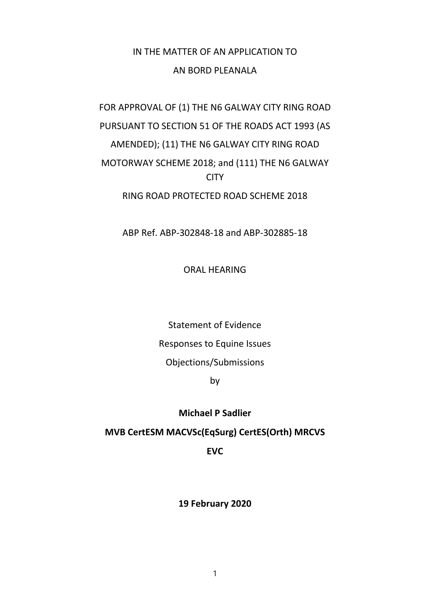## IN THE MATTER OF AN APPLICATION TO AN BORD PLEANALA

# FOR APPROVAL OF (1) THE N6 GALWAY CITY RING ROAD PURSUANT TO SECTION 51 OF THE ROADS ACT 1993 (AS AMENDED); (11) THE N6 GALWAY CITY RING ROAD MOTORWAY SCHEME 2018; and (111) THE N6 GALWAY CITY RING ROAD PROTECTED ROAD SCHEME 2018

ABP Ref. ABP-302848-18 and ABP-302885-18

ORAL HEARING

Statement of Evidence Responses to Equine Issues Objections/Submissions

by

### **Michael P Sadlier**

### **MVB CertESM MACVSc(EqSurg) CertES(Orth) MRCVS**

**EVC**

**19 February 2020**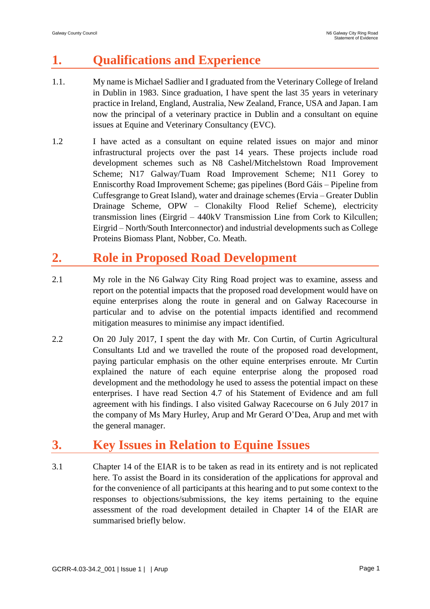## **1. Qualifications and Experience**

- 1.1. My name is Michael Sadlier and I graduated from the Veterinary College of Ireland in Dublin in 1983. Since graduation, I have spent the last 35 years in veterinary practice in Ireland, England, Australia, New Zealand, France, USA and Japan. I am now the principal of a veterinary practice in Dublin and a consultant on equine issues at Equine and Veterinary Consultancy (EVC).
- 1.2 I have acted as a consultant on equine related issues on major and minor infrastructural projects over the past 14 years. These projects include road development schemes such as N8 Cashel/Mitchelstown Road Improvement Scheme; N17 Galway/Tuam Road Improvement Scheme; N11 Gorey to Enniscorthy Road Improvement Scheme; gas pipelines (Bord Gáis – Pipeline from Cuffesgrange to Great Island), water and drainage schemes (Ervia – Greater Dublin Drainage Scheme, OPW – Clonakilty Flood Relief Scheme), electricity transmission lines (Eirgrid – 440kV Transmission Line from Cork to Kilcullen; Eirgrid – North/South Interconnector) and industrial developments such as College Proteins Biomass Plant, Nobber, Co. Meath.

## **2. Role in Proposed Road Development**

- 2.1 My role in the N6 Galway City Ring Road project was to examine, assess and report on the potential impacts that the proposed road development would have on equine enterprises along the route in general and on Galway Racecourse in particular and to advise on the potential impacts identified and recommend mitigation measures to minimise any impact identified.
- 2.2 On 20 July 2017, I spent the day with Mr. Con Curtin, of Curtin Agricultural Consultants Ltd and we travelled the route of the proposed road development, paying particular emphasis on the other equine enterprises enroute. Mr Curtin explained the nature of each equine enterprise along the proposed road development and the methodology he used to assess the potential impact on these enterprises. I have read Section 4.7 of his Statement of Evidence and am full agreement with his findings. I also visited Galway Racecourse on 6 July 2017 in the company of Ms Mary Hurley, Arup and Mr Gerard O'Dea, Arup and met with the general manager.

## **3. Key Issues in Relation to Equine Issues**

3.1 Chapter 14 of the EIAR is to be taken as read in its entirety and is not replicated here. To assist the Board in its consideration of the applications for approval and for the convenience of all participants at this hearing and to put some context to the responses to objections/submissions, the key items pertaining to the equine assessment of the road development detailed in Chapter 14 of the EIAR are summarised briefly below.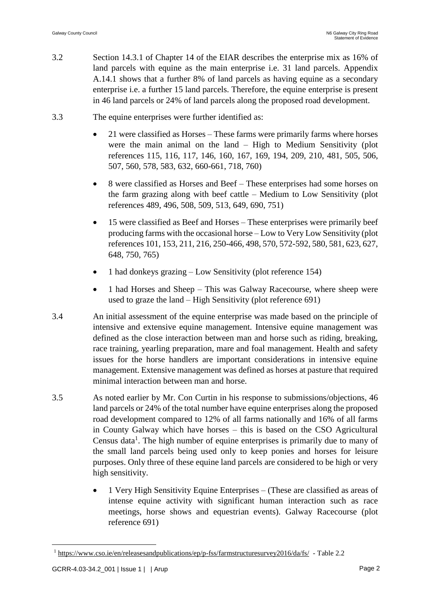- 3.2 Section 14.3.1 of Chapter 14 of the EIAR describes the enterprise mix as 16% of land parcels with equine as the main enterprise i.e. 31 land parcels. Appendix A.14.1 shows that a further 8% of land parcels as having equine as a secondary enterprise i.e. a further 15 land parcels. Therefore, the equine enterprise is present in 46 land parcels or 24% of land parcels along the proposed road development.
- 3.3 The equine enterprises were further identified as:
	- 21 were classified as Horses These farms were primarily farms where horses were the main animal on the land – High to Medium Sensitivity (plot references 115, 116, 117, 146, 160, 167, 169, 194, 209, 210, 481, 505, 506, 507, 560, 578, 583, 632, 660-661, 718, 760)
	- 8 were classified as Horses and Beef These enterprises had some horses on the farm grazing along with beef cattle – Medium to Low Sensitivity (plot references 489, 496, 508, 509, 513, 649, 690, 751)
	- 15 were classified as Beef and Horses These enterprises were primarily beef producing farms with the occasional horse – Low to Very Low Sensitivity (plot references 101, 153, 211, 216, 250-466, 498, 570, 572-592, 580, 581, 623, 627, 648, 750, 765)
	- 1 had donkeys grazing Low Sensitivity (plot reference 154)
	- 1 had Horses and Sheep This was Galway Racecourse, where sheep were used to graze the land – High Sensitivity (plot reference 691)
- 3.4 An initial assessment of the equine enterprise was made based on the principle of intensive and extensive equine management. Intensive equine management was defined as the close interaction between man and horse such as riding, breaking, race training, yearling preparation, mare and foal management. Health and safety issues for the horse handlers are important considerations in intensive equine management. Extensive management was defined as horses at pasture that required minimal interaction between man and horse.
- 3.5 As noted earlier by Mr. Con Curtin in his response to submissions/objections, 46 land parcels or 24% of the total number have equine enterprises along the proposed road development compared to 12% of all farms nationally and 16% of all farms in County Galway which have horses – this is based on the CSO Agricultural Census data<sup>1</sup>. The high number of equine enterprises is primarily due to many of the small land parcels being used only to keep ponies and horses for leisure purposes. Only three of these equine land parcels are considered to be high or very high sensitivity.
	- 1 Very High Sensitivity Equine Enterprises (These are classified as areas of intense equine activity with significant human interaction such as race meetings, horse shows and equestrian events). Galway Racecourse (plot reference 691)

 $\overline{a}$ 

<sup>1</sup> <https://www.cso.ie/en/releasesandpublications/ep/p-fss/farmstructuresurvey2016/da/fs/>- Table 2.2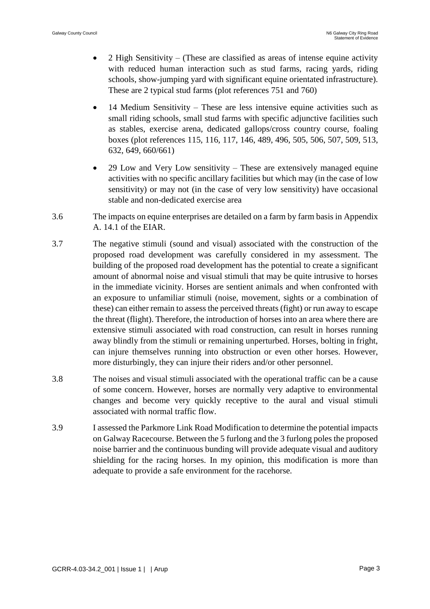- 2 High Sensitivity (These are classified as areas of intense equine activity with reduced human interaction such as stud farms, racing yards, riding schools, show-jumping yard with significant equine orientated infrastructure). These are 2 typical stud farms (plot references 751 and 760)
- 14 Medium Sensitivity These are less intensive equine activities such as small riding schools, small stud farms with specific adjunctive facilities such as stables, exercise arena, dedicated gallops/cross country course, foaling boxes (plot references 115, 116, 117, 146, 489, 496, 505, 506, 507, 509, 513, 632, 649, 660/661)
- 29 Low and Very Low sensitivity These are extensively managed equine activities with no specific ancillary facilities but which may (in the case of low sensitivity) or may not (in the case of very low sensitivity) have occasional stable and non-dedicated exercise area
- 3.6 The impacts on equine enterprises are detailed on a farm by farm basis in Appendix A. 14.1 of the EIAR.
- 3.7 The negative stimuli (sound and visual) associated with the construction of the proposed road development was carefully considered in my assessment. The building of the proposed road development has the potential to create a significant amount of abnormal noise and visual stimuli that may be quite intrusive to horses in the immediate vicinity. Horses are sentient animals and when confronted with an exposure to unfamiliar stimuli (noise, movement, sights or a combination of these) can either remain to assess the perceived threats (fight) or run away to escape the threat (flight). Therefore, the introduction of horses into an area where there are extensive stimuli associated with road construction, can result in horses running away blindly from the stimuli or remaining unperturbed. Horses, bolting in fright, can injure themselves running into obstruction or even other horses. However, more disturbingly, they can injure their riders and/or other personnel.
- 3.8 The noises and visual stimuli associated with the operational traffic can be a cause of some concern. However, horses are normally very adaptive to environmental changes and become very quickly receptive to the aural and visual stimuli associated with normal traffic flow.
- 3.9 I assessed the Parkmore Link Road Modification to determine the potential impacts on Galway Racecourse. Between the 5 furlong and the 3 furlong poles the proposed noise barrier and the continuous bunding will provide adequate visual and auditory shielding for the racing horses. In my opinion, this modification is more than adequate to provide a safe environment for the racehorse.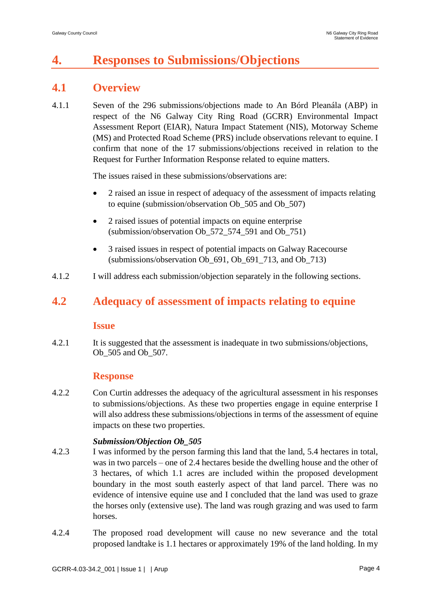## **4. Responses to Submissions/Objections**

### **4.1 Overview**

4.1.1 Seven of the 296 submissions/objections made to An Bórd Pleanála (ABP) in respect of the N6 Galway City Ring Road (GCRR) Environmental Impact Assessment Report (EIAR), Natura Impact Statement (NIS), Motorway Scheme (MS) and Protected Road Scheme (PRS) include observations relevant to equine. I confirm that none of the 17 submissions/objections received in relation to the Request for Further Information Response related to equine matters.

The issues raised in these submissions/observations are:

- 2 raised an issue in respect of adequacy of the assessment of impacts relating to equine (submission/observation Ob\_505 and Ob\_507)
- 2 raised issues of potential impacts on equine enterprise (submission/observation Ob\_572\_574\_591 and Ob\_751)
- 3 raised issues in respect of potential impacts on Galway Racecourse (submissions/observation Ob  $691$ , Ob  $691$   $713$ , and Ob  $713$ )
- 4.1.2 I will address each submission/objection separately in the following sections.

### **4.2 Adequacy of assessment of impacts relating to equine**

#### **Issue**

4.2.1 It is suggested that the assessment is inadequate in two submissions/objections, Ob\_505 and Ob\_507.

#### **Response**

4.2.2 Con Curtin addresses the adequacy of the agricultural assessment in his responses to submissions/objections. As these two properties engage in equine enterprise I will also address these submissions/objections in terms of the assessment of equine impacts on these two properties.

#### *Submission/Objection Ob\_505*

- 4.2.3 I was informed by the person farming this land that the land, 5.4 hectares in total, was in two parcels – one of 2.4 hectares beside the dwelling house and the other of 3 hectares, of which 1.1 acres are included within the proposed development boundary in the most south easterly aspect of that land parcel. There was no evidence of intensive equine use and I concluded that the land was used to graze the horses only (extensive use). The land was rough grazing and was used to farm horses.
- 4.2.4 The proposed road development will cause no new severance and the total proposed landtake is 1.1 hectares or approximately 19% of the land holding. In my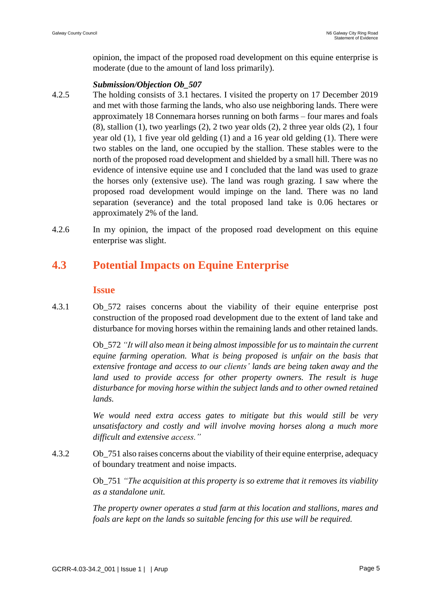opinion, the impact of the proposed road development on this equine enterprise is moderate (due to the amount of land loss primarily).

#### *Submission/Objection Ob\_507*

- 4.2.5 The holding consists of 3.1 hectares. I visited the property on 17 December 2019 and met with those farming the lands, who also use neighboring lands. There were approximately 18 Connemara horses running on both farms – four mares and foals  $(8)$ , stallion  $(1)$ , two yearlings  $(2)$ , 2 two year olds  $(2)$ , 2 three year olds  $(2)$ , 1 four year old (1), 1 five year old gelding (1) and a 16 year old gelding (1). There were two stables on the land, one occupied by the stallion. These stables were to the north of the proposed road development and shielded by a small hill. There was no evidence of intensive equine use and I concluded that the land was used to graze the horses only (extensive use). The land was rough grazing. I saw where the proposed road development would impinge on the land. There was no land separation (severance) and the total proposed land take is 0.06 hectares or approximately 2% of the land.
- 4.2.6 In my opinion, the impact of the proposed road development on this equine enterprise was slight.

### **4.3 Potential Impacts on Equine Enterprise**

#### **Issue**

4.3.1 Ob\_572 raises concerns about the viability of their equine enterprise post construction of the proposed road development due to the extent of land take and disturbance for moving horses within the remaining lands and other retained lands.

> Ob\_572 *"It will also mean it being almost impossible for us to maintain the current equine farming operation. What is being proposed is unfair on the basis that extensive frontage and access to our clients' lands are being taken away and the land used to provide access for other property owners. The result is huge disturbance for moving horse within the subject lands and to other owned retained lands.*

> *We would need extra access gates to mitigate but this would still be very unsatisfactory and costly and will involve moving horses along a much more difficult and extensive access."*

4.3.2 Ob\_751 also raises concerns about the viability of their equine enterprise, adequacy of boundary treatment and noise impacts.

> Ob\_751 *"The acquisition at this property is so extreme that it removes its viability as a standalone unit.*

> *The property owner operates a stud farm at this location and stallions, mares and foals are kept on the lands so suitable fencing for this use will be required.*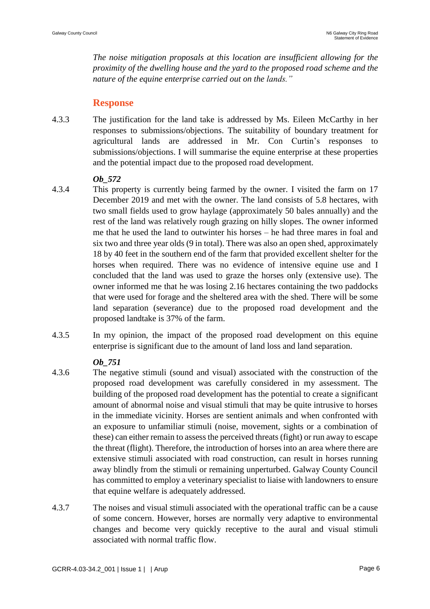*The noise mitigation proposals at this location are insufficient allowing for the proximity of the dwelling house and the yard to the proposed road scheme and the nature of the equine enterprise carried out on the lands."*

#### **Response**

4.3.3 The justification for the land take is addressed by Ms. Eileen McCarthy in her responses to submissions/objections. The suitability of boundary treatment for agricultural lands are addressed in Mr. Con Curtin's responses to submissions/objections. I will summarise the equine enterprise at these properties and the potential impact due to the proposed road development.

#### *Ob\_572*

- 4.3.4 This property is currently being farmed by the owner. I visited the farm on 17 December 2019 and met with the owner. The land consists of 5.8 hectares, with two small fields used to grow haylage (approximately 50 bales annually) and the rest of the land was relatively rough grazing on hilly slopes. The owner informed me that he used the land to outwinter his horses – he had three mares in foal and six two and three year olds (9 in total). There was also an open shed, approximately 18 by 40 feet in the southern end of the farm that provided excellent shelter for the horses when required. There was no evidence of intensive equine use and I concluded that the land was used to graze the horses only (extensive use). The owner informed me that he was losing 2.16 hectares containing the two paddocks that were used for forage and the sheltered area with the shed. There will be some land separation (severance) due to the proposed road development and the proposed landtake is 37% of the farm.
- 4.3.5 In my opinion, the impact of the proposed road development on this equine enterprise is significant due to the amount of land loss and land separation.

#### *Ob\_751*

- 4.3.6 The negative stimuli (sound and visual) associated with the construction of the proposed road development was carefully considered in my assessment. The building of the proposed road development has the potential to create a significant amount of abnormal noise and visual stimuli that may be quite intrusive to horses in the immediate vicinity. Horses are sentient animals and when confronted with an exposure to unfamiliar stimuli (noise, movement, sights or a combination of these) can either remain to assess the perceived threats (fight) or run away to escape the threat (flight). Therefore, the introduction of horses into an area where there are extensive stimuli associated with road construction, can result in horses running away blindly from the stimuli or remaining unperturbed. Galway County Council has committed to employ a veterinary specialist to liaise with landowners to ensure that equine welfare is adequately addressed.
- 4.3.7 The noises and visual stimuli associated with the operational traffic can be a cause of some concern. However, horses are normally very adaptive to environmental changes and become very quickly receptive to the aural and visual stimuli associated with normal traffic flow.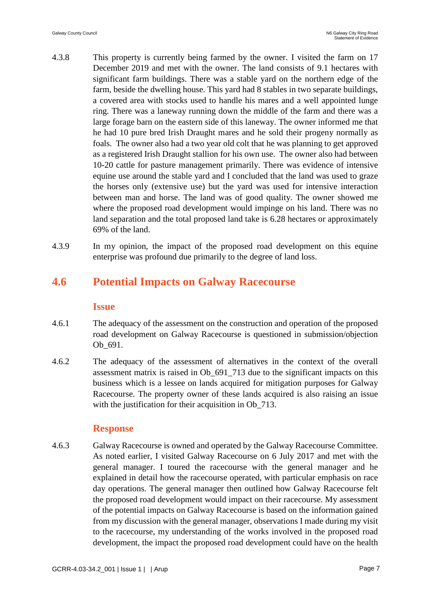- 4.3.8 This property is currently being farmed by the owner. I visited the farm on 17 December 2019 and met with the owner. The land consists of 9.1 hectares with significant farm buildings. There was a stable yard on the northern edge of the farm, beside the dwelling house. This yard had 8 stables in two separate buildings, a covered area with stocks used to handle his mares and a well appointed lunge ring. There was a laneway running down the middle of the farm and there was a large forage barn on the eastern side of this laneway. The owner informed me that he had 10 pure bred Irish Draught mares and he sold their progeny normally as foals. The owner also had a two year old colt that he was planning to get approved as a registered Irish Draught stallion for his own use. The owner also had between 10-20 cattle for pasture management primarily. There was evidence of intensive equine use around the stable yard and I concluded that the land was used to graze the horses only (extensive use) but the yard was used for intensive interaction between man and horse. The land was of good quality. The owner showed me where the proposed road development would impinge on his land. There was no land separation and the total proposed land take is 6.28 hectares or approximately 69% of the land.
- 4.3.9 In my opinion, the impact of the proposed road development on this equine enterprise was profound due primarily to the degree of land loss.

### **4.6 Potential Impacts on Galway Racecourse**

#### **Issue**

- 4.6.1 The adequacy of the assessment on the construction and operation of the proposed road development on Galway Racecourse is questioned in submission/objection Ob\_691.
- 4.6.2 The adequacy of the assessment of alternatives in the context of the overall assessment matrix is raised in Ob\_691\_713 due to the significant impacts on this business which is a lessee on lands acquired for mitigation purposes for Galway Racecourse. The property owner of these lands acquired is also raising an issue with the justification for their acquisition in Ob<sub>\_713</sub>.

#### **Response**

4.6.3 Galway Racecourse is owned and operated by the Galway Racecourse Committee. As noted earlier, I visited Galway Racecourse on 6 July 2017 and met with the general manager. I toured the racecourse with the general manager and he explained in detail how the racecourse operated, with particular emphasis on race day operations. The general manager then outlined how Galway Racecourse felt the proposed road development would impact on their racecourse. My assessment of the potential impacts on Galway Racecourse is based on the information gained from my discussion with the general manager, observations I made during my visit to the racecourse, my understanding of the works involved in the proposed road development, the impact the proposed road development could have on the health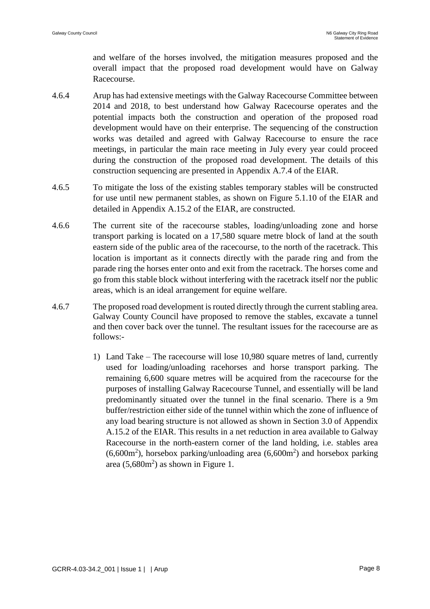and welfare of the horses involved, the mitigation measures proposed and the overall impact that the proposed road development would have on Galway Racecourse.

- 4.6.4 Arup has had extensive meetings with the Galway Racecourse Committee between 2014 and 2018, to best understand how Galway Racecourse operates and the potential impacts both the construction and operation of the proposed road development would have on their enterprise. The sequencing of the construction works was detailed and agreed with Galway Racecourse to ensure the race meetings, in particular the main race meeting in July every year could proceed during the construction of the proposed road development. The details of this construction sequencing are presented in Appendix A.7.4 of the EIAR.
- 4.6.5 To mitigate the loss of the existing stables temporary stables will be constructed for use until new permanent stables, as shown on Figure 5.1.10 of the EIAR and detailed in Appendix A.15.2 of the EIAR, are constructed.
- 4.6.6 The current site of the racecourse stables, loading/unloading zone and horse transport parking is located on a 17,580 square metre block of land at the south eastern side of the public area of the racecourse, to the north of the racetrack. This location is important as it connects directly with the parade ring and from the parade ring the horses enter onto and exit from the racetrack. The horses come and go from this stable block without interfering with the racetrack itself nor the public areas, which is an ideal arrangement for equine welfare.
- 4.6.7 The proposed road development is routed directly through the current stabling area. Galway County Council have proposed to remove the stables, excavate a tunnel and then cover back over the tunnel. The resultant issues for the racecourse are as follows:-
	- 1) Land Take The racecourse will lose 10,980 square metres of land, currently used for loading/unloading racehorses and horse transport parking. The remaining 6,600 square metres will be acquired from the racecourse for the purposes of installing Galway Racecourse Tunnel, and essentially will be land predominantly situated over the tunnel in the final scenario. There is a 9m buffer/restriction either side of the tunnel within which the zone of influence of any load bearing structure is not allowed as shown in Section 3.0 of Appendix A.15.2 of the EIAR. This results in a net reduction in area available to Galway Racecourse in the north-eastern corner of the land holding, i.e. stables area  $(6,600m^2)$ , horsebox parking/unloading area  $(6,600m^2)$  and horsebox parking area  $(5,680m^2)$  as shown in Figure 1.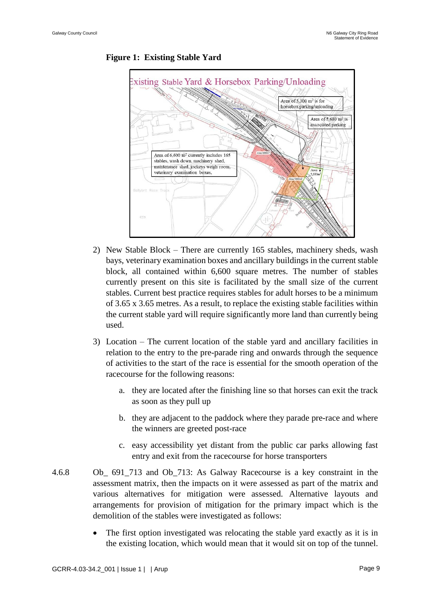

**Figure 1: Existing Stable Yard**

- 2) New Stable Block There are currently 165 stables, machinery sheds, wash bays, veterinary examination boxes and ancillary buildings in the current stable block, all contained within 6,600 square metres. The number of stables currently present on this site is facilitated by the small size of the current stables. Current best practice requires stables for adult horses to be a minimum of 3.65 x 3.65 metres. As a result, to replace the existing stable facilities within the current stable yard will require significantly more land than currently being used.
- 3) Location The current location of the stable yard and ancillary facilities in relation to the entry to the pre-parade ring and onwards through the sequence of activities to the start of the race is essential for the smooth operation of the racecourse for the following reasons:
	- a. they are located after the finishing line so that horses can exit the track as soon as they pull up
	- b. they are adjacent to the paddock where they parade pre-race and where the winners are greeted post-race
	- c. easy accessibility yet distant from the public car parks allowing fast entry and exit from the racecourse for horse transporters
- 4.6.8 Ob\_ 691\_713 and Ob\_713: As Galway Racecourse is a key constraint in the assessment matrix, then the impacts on it were assessed as part of the matrix and various alternatives for mitigation were assessed. Alternative layouts and arrangements for provision of mitigation for the primary impact which is the demolition of the stables were investigated as follows:
	- The first option investigated was relocating the stable yard exactly as it is in the existing location, which would mean that it would sit on top of the tunnel.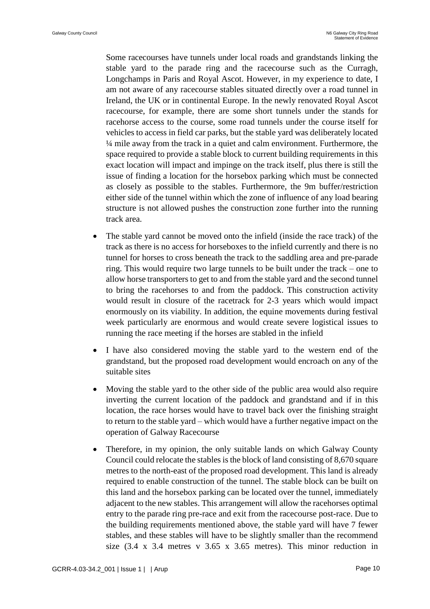Some racecourses have tunnels under local roads and grandstands linking the stable yard to the parade ring and the racecourse such as the Curragh, Longchamps in Paris and Royal Ascot. However, in my experience to date, I am not aware of any racecourse stables situated directly over a road tunnel in Ireland, the UK or in continental Europe. In the newly renovated Royal Ascot racecourse, for example, there are some short tunnels under the stands for racehorse access to the course, some road tunnels under the course itself for vehicles to access in field car parks, but the stable yard was deliberately located ¼ mile away from the track in a quiet and calm environment. Furthermore, the space required to provide a stable block to current building requirements in this exact location will impact and impinge on the track itself, plus there is still the issue of finding a location for the horsebox parking which must be connected as closely as possible to the stables. Furthermore, the 9m buffer/restriction either side of the tunnel within which the zone of influence of any load bearing structure is not allowed pushes the construction zone further into the running track area.

- The stable yard cannot be moved onto the infield (inside the race track) of the track as there is no access for horseboxes to the infield currently and there is no tunnel for horses to cross beneath the track to the saddling area and pre-parade ring. This would require two large tunnels to be built under the track – one to allow horse transporters to get to and from the stable yard and the second tunnel to bring the racehorses to and from the paddock. This construction activity would result in closure of the racetrack for 2-3 years which would impact enormously on its viability. In addition, the equine movements during festival week particularly are enormous and would create severe logistical issues to running the race meeting if the horses are stabled in the infield
- I have also considered moving the stable yard to the western end of the grandstand, but the proposed road development would encroach on any of the suitable sites
- Moving the stable yard to the other side of the public area would also require inverting the current location of the paddock and grandstand and if in this location, the race horses would have to travel back over the finishing straight to return to the stable yard – which would have a further negative impact on the operation of Galway Racecourse
- Therefore, in my opinion, the only suitable lands on which Galway County Council could relocate the stables is the block of land consisting of 8,670 square metres to the north-east of the proposed road development. This land is already required to enable construction of the tunnel. The stable block can be built on this land and the horsebox parking can be located over the tunnel, immediately adjacent to the new stables. This arrangement will allow the racehorses optimal entry to the parade ring pre-race and exit from the racecourse post-race. Due to the building requirements mentioned above, the stable yard will have 7 fewer stables, and these stables will have to be slightly smaller than the recommend size  $(3.4 \times 3.4$  metres v  $3.65 \times 3.65$  metres). This minor reduction in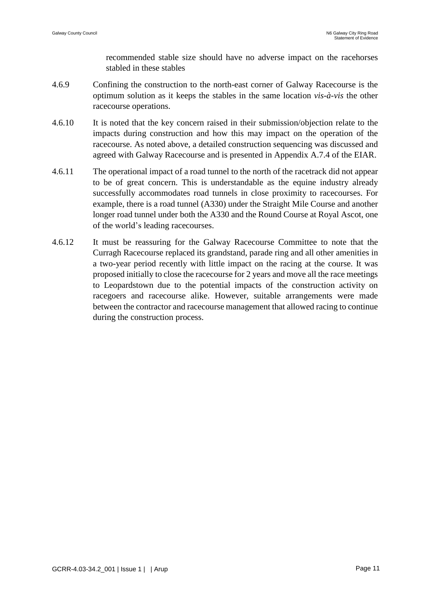recommended stable size should have no adverse impact on the racehorses stabled in these stables

- 4.6.9 Confining the construction to the north-east corner of Galway Racecourse is the optimum solution as it keeps the stables in the same location *vis-à-vis* the other racecourse operations.
- 4.6.10 It is noted that the key concern raised in their submission/objection relate to the impacts during construction and how this may impact on the operation of the racecourse. As noted above, a detailed construction sequencing was discussed and agreed with Galway Racecourse and is presented in Appendix A.7.4 of the EIAR.
- 4.6.11 The operational impact of a road tunnel to the north of the racetrack did not appear to be of great concern. This is understandable as the equine industry already successfully accommodates road tunnels in close proximity to racecourses. For example, there is a road tunnel (A330) under the Straight Mile Course and another longer road tunnel under both the A330 and the Round Course at Royal Ascot, one of the world's leading racecourses.
- 4.6.12 It must be reassuring for the Galway Racecourse Committee to note that the Curragh Racecourse replaced its grandstand, parade ring and all other amenities in a two-year period recently with little impact on the racing at the course. It was proposed initially to close the racecourse for 2 years and move all the race meetings to Leopardstown due to the potential impacts of the construction activity on racegoers and racecourse alike. However, suitable arrangements were made between the contractor and racecourse management that allowed racing to continue during the construction process.